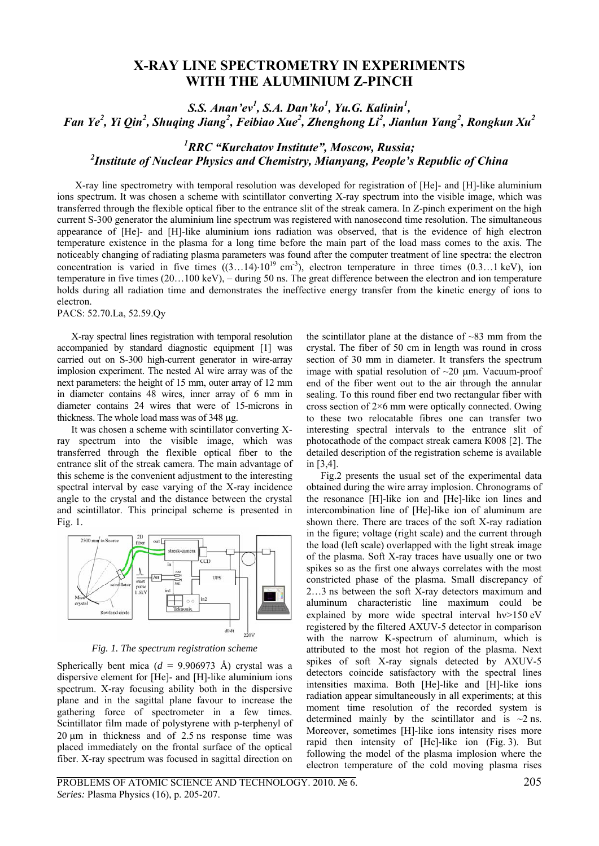# **X-RAY LINE SPECTROMETRY IN EXPERIMENTS WITH THE ALUMINIUM Z-PINCH**

*S.S. Anan'ev<sup>1</sup>, S.A. Dan'ko<sup>1</sup>, Yu.G. Kalinin<sup>1</sup>, Fan Ye<sup>2</sup> , Yi Qin<sup>2</sup> , Shuqing Jiang<sup>2</sup> , Feibiao Xue<sup>2</sup> , Zhenghong Li<sup>2</sup> , Jianlun Yang<sup>2</sup> , Rongkun Xu<sup>2</sup>*

## *1 RRC "Kurchatov Institute", Moscow, Russia; 2 Institute of Nuclear Physics and Chemistry, Mianyang, People's Republic of China*

X-ray line spectrometry with temporal resolution was developed for registration of [He]- and [H]-like aluminium ions spectrum. It was chosen a scheme with scintillator converting X-ray spectrum into the visible image, which was transferred through the flexible optical fiber to the entrance slit of the streak camera. In Z-pinch experiment on the high current S-300 generator the aluminium line spectrum was registered with nanosecond time resolution. The simultaneous appearance of [He]- and [H]-like aluminium ions radiation was observed, that is the evidence of high electron temperature existence in the plasma for a long time before the main part of the load mass comes to the axis. The noticeably changing of radiating plasma parameters was found after the computer treatment of line spectra: the electron concentration is varied in five times  $((3...14)\cdot10^{19} \text{ cm}^{-3})$ , electron temperature in three times  $(0.3...1 \text{ keV})$ , ion temperature in five times (20…100 keV), – during 50 ns. The great difference between the electron and ion temperature holds during all radiation time and demonstrates the ineffective energy transfer from the kinetic energy of ions to electron.

PACS: 52.70.La, 52.59.Qy

X-ray spectral lines registration with temporal resolution accompanied by standard diagnostic equipment [1] was carried out on S-300 high-current generator in wire-array implosion experiment. The nested Al wire array was of the next parameters: the height of 15 mm, outer array of 12 mm in diameter contains 48 wires, inner array of 6 mm in diameter contains 24 wires that were of 15-microns in thickness. The whole load mass was of 348 μg.

It was chosen a scheme with scintillator converting Xray spectrum into the visible image, which was transferred through the flexible optical fiber to the entrance slit of the streak camera. The main advantage of this scheme is the convenient adjustment to the interesting spectral interval by ease varying of the X-ray incidence angle to the crystal and the distance between the crystal and scintillator. This principal scheme is presented in Fig. 1.



*Fig. 1. The spectrum registration scheme* 

Spherically bent mica ( $d = 9.906973$  Å) crystal was a dispersive element for [He]- and [H]-like aluminium ions spectrum. X-ray focusing ability both in the dispersive plane and in the sagittal plane favour to increase the gathering force of spectrometer in a few times. Scintillator film made of polystyrene with p-terphenyl of 20 μm in thickness and of 2.5 ns response time was placed immediately on the frontal surface of the optical fiber. X-ray spectrum was focused in sagittal direction on

the scintillator plane at the distance of  $~83$  mm from the crystal. The fiber of 50 cm in length was round in cross section of 30 mm in diameter. It transfers the spectrum image with spatial resolution of  $\sim$ 20  $\mu$ m. Vacuum-proof end of the fiber went out to the air through the annular sealing. To this round fiber end two rectangular fiber with cross section of 2×6 mm were optically connected. Owing to these two relocatable fibres one can transfer two interesting spectral intervals to the entrance slit of photocathode of the compact streak camera К008 [2]. The detailed description of the registration scheme is available in [3,4].

Fig.2 presents the usual set of the experimental data obtained during the wire array implosion. Chronograms of the resonance [H]-like ion and [He]-like ion lines and intercombination line of [He]-like ion of aluminum are shown there. There are traces of the soft X-ray radiation in the figure; voltage (right scale) and the current through the load (left scale) overlapped with the light streak image of the plasma. Soft X-ray traces have usually one or two spikes so as the first one always correlates with the most constricted phase of the plasma. Small discrepancy of 2…3 ns between the soft X-ray detectors maximum and aluminum characteristic line maximum could be explained by more wide spectral interval hy > 150 eV registered by the filtered AXUV-5 detector in comparison with the narrow K-spectrum of aluminum, which is attributed to the most hot region of the plasma. Next spikes of soft X-ray signals detected by AXUV-5 detectors coincide satisfactory with the spectral lines intensities maxima. Both [He]-like and [H]-like ions radiation appear simultaneously in all experiments; at this moment time resolution of the recorded system is determined mainly by the scintillator and is  $\sim$ 2 ns. Moreover, sometimes [H]-like ions intensity rises more rapid then intensity of [He]-like ion (Fig. 3). But following the model of the plasma implosion where the electron temperature of the cold moving plasma rises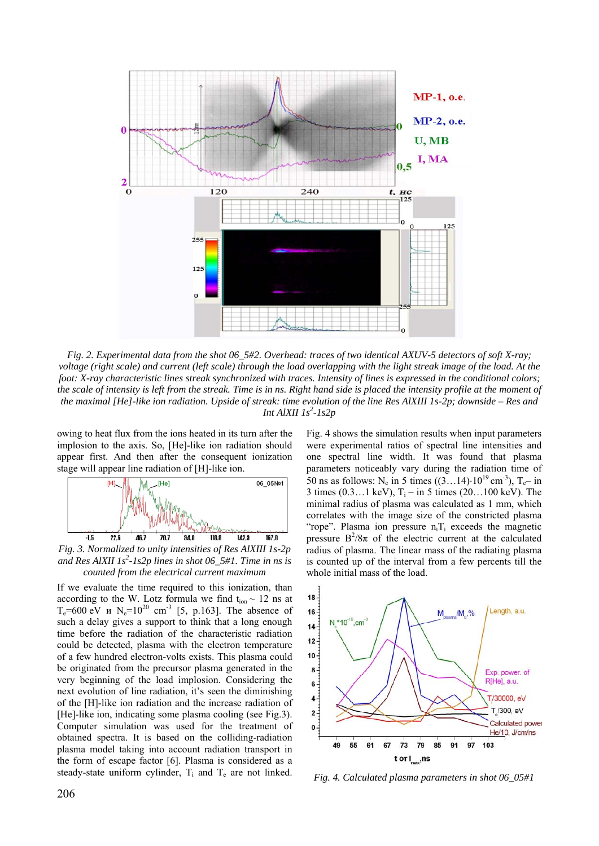

*Fig. 2. Experimental data from the shot 06\_5#2. Overhead: traces of two identical AXUV-5 detectors of soft X-ray; voltage (right scale) and current (left scale) through the load overlapping with the light streak image of the load. At the foot: X-ray characteristic lines streak synchronized with traces. Intensity of lines is expressed in the conditional colors; the scale of intensity is left from the streak. Time is in ns. Right hand side is placed the intensity profile at the moment of the maximal [He]-like ion radiation. Upside of streak: time evolution of the line Res AlXIII 1s-2p; downside – Res and Int AlXII 1s*<sup>2</sup>-1s2p

owing to heat flux from the ions heated in its turn after the implosion to the axis. So, [He]-like ion radiation should appear first. And then after the consequent ionization stage will appear line radiation of [H]-like ion.



*Fig. 3. Normalized to unity intensities of Res AlXIII 1s-2p*  and Res AlXII 1s<sup>2</sup>-1s2p lines in shot 06\_5#1. Time in ns is *counted from the electrical current maximum* 

If we evaluate the time required to this ionization, than according to the W. Lotz formula we find  $t_{ion} \sim 12$  ns at  $T_e = 600 \text{ eV}$  *u*  $N_e = 10^{20} \text{ cm}^{-3}$  [5, p.163]. The absence of such a delay gives a support to think that a long enough time before the radiation of the characteristic radiation could be detected, plasma with the electron temperature of a few hundred electron-volts exists. This plasma could be originated from the precursor plasma generated in the very beginning of the load implosion. Considering the next evolution of line radiation, it's seen the diminishing of the [H]-like ion radiation and the increase radiation of [He]-like ion, indicating some plasma cooling (see Fig.3). Computer simulation was used for the treatment of obtained spectra. It is based on the colliding-radiation plasma model taking into account radiation transport in the form of escape factor [6]. Plasma is considered as a steady-state uniform cylinder,  $T_i$  and  $T_e$  are not linked. Fig. 4 shows the simulation results when input parameters were experimental ratios of spectral line intensities and one spectral line width. It was found that plasma parameters noticeably vary during the radiation time of 50 ns as follows: N<sub>e</sub> in 5 times  $((3...14)\cdot10^{19} \text{ cm}^{-3})$ , T<sub>e</sub>- in 3 times (0.3...1 keV),  $T_i$  – in 5 times (20...100 keV). The minimal radius of plasma was calculated as 1 mm, which correlates with the image size of the constricted plasma "rope". Plasma ion pressure  $n_i$ T<sub>i</sub> exceeds the magnetic pressure  $B^2/8\pi$  of the electric current at the calculated radius of plasma. The linear mass of the radiating plasma is counted up of the interval from a few percents till the whole initial mass of the load.



*Fig. 4. Calculated plasma parameters in shot 06\_05#1*